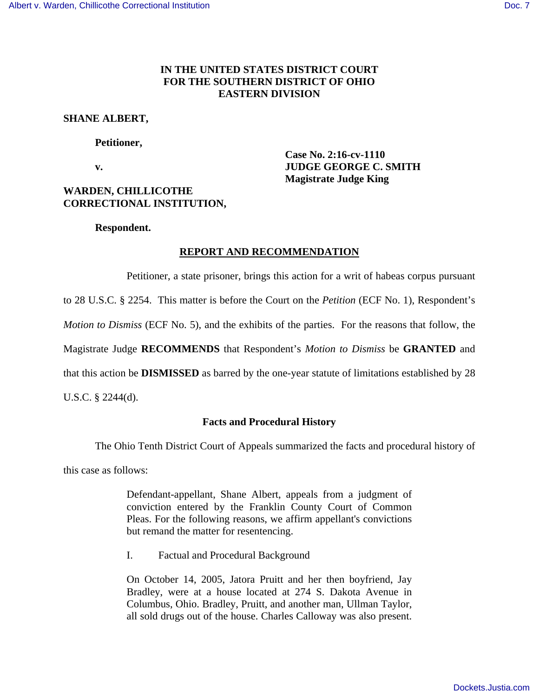# **IN THE UNITED STATES DISTRICT COURT FOR THE SOUTHERN DISTRICT OF OHIO EASTERN DIVISION**

## **SHANE ALBERT,**

### **Petitioner,**

 **v. JUDGE GEORGE C. SMITH** 

# **WARDEN, CHILLICOTHE CORRECTIONAL INSTITUTION,**

### **Respondent.**

# **REPORT AND RECOMMENDATION**

Petitioner, a state prisoner, brings this action for a writ of habeas corpus pursuant

 **Case No. 2:16-cv-1110** 

**Magistrate Judge King** 

to 28 U.S.C. § 2254. This matter is before the Court on the *Petition* (ECF No. 1), Respondent's

*Motion to Dismiss* (ECF No. 5), and the exhibits of the parties. For the reasons that follow, the

Magistrate Judge **RECOMMENDS** that Respondent's *Motion to Dismiss* be **GRANTED** and

that this action be **DISMISSED** as barred by the one-year statute of limitations established by 28

U.S.C. § 2244(d).

# **Facts and Procedural History**

The Ohio Tenth District Court of Appeals summarized the facts and procedural history of

this case as follows:

Defendant-appellant, Shane Albert, appeals from a judgment of conviction entered by the Franklin County Court of Common Pleas. For the following reasons, we affirm appellant's convictions but remand the matter for resentencing.

I. Factual and Procedural Background

On October 14, 2005, Jatora Pruitt and her then boyfriend, Jay Bradley, were at a house located at 274 S. Dakota Avenue in Columbus, Ohio. Bradley, Pruitt, and another man, Ullman Taylor, all sold drugs out of the house. Charles Calloway was also present.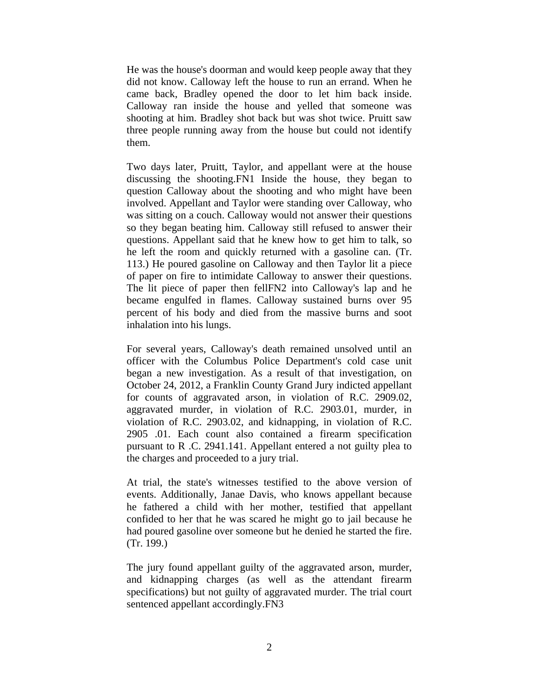He was the house's doorman and would keep people away that they did not know. Calloway left the house to run an errand. When he came back, Bradley opened the door to let him back inside. Calloway ran inside the house and yelled that someone was shooting at him. Bradley shot back but was shot twice. Pruitt saw three people running away from the house but could not identify them.

Two days later, Pruitt, Taylor, and appellant were at the house discussing the shooting.FN1 Inside the house, they began to question Calloway about the shooting and who might have been involved. Appellant and Taylor were standing over Calloway, who was sitting on a couch. Calloway would not answer their questions so they began beating him. Calloway still refused to answer their questions. Appellant said that he knew how to get him to talk, so he left the room and quickly returned with a gasoline can. (Tr. 113.) He poured gasoline on Calloway and then Taylor lit a piece of paper on fire to intimidate Calloway to answer their questions. The lit piece of paper then fellFN2 into Calloway's lap and he became engulfed in flames. Calloway sustained burns over 95 percent of his body and died from the massive burns and soot inhalation into his lungs.

For several years, Calloway's death remained unsolved until an officer with the Columbus Police Department's cold case unit began a new investigation. As a result of that investigation, on October 24, 2012, a Franklin County Grand Jury indicted appellant for counts of aggravated arson, in violation of R.C. 2909.02, aggravated murder, in violation of R.C. 2903.01, murder, in violation of R.C. 2903.02, and kidnapping, in violation of R.C. 2905 .01. Each count also contained a firearm specification pursuant to R .C. 2941.141. Appellant entered a not guilty plea to the charges and proceeded to a jury trial.

At trial, the state's witnesses testified to the above version of events. Additionally, Janae Davis, who knows appellant because he fathered a child with her mother, testified that appellant confided to her that he was scared he might go to jail because he had poured gasoline over someone but he denied he started the fire. (Tr. 199.)

The jury found appellant guilty of the aggravated arson, murder, and kidnapping charges (as well as the attendant firearm specifications) but not guilty of aggravated murder. The trial court sentenced appellant accordingly.FN3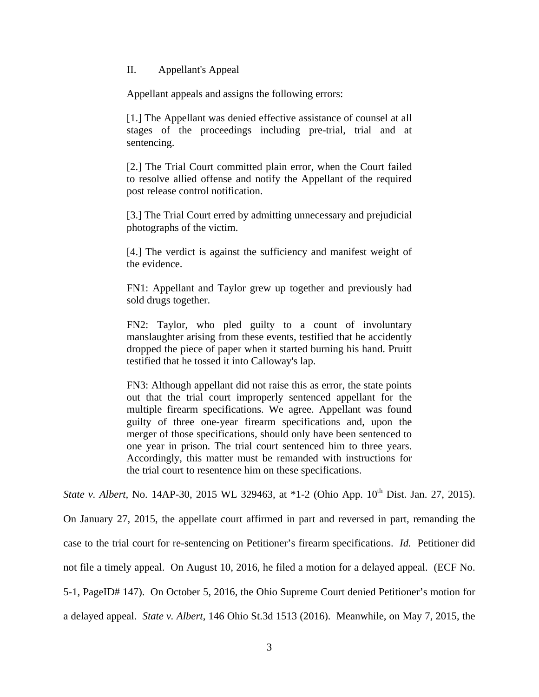## II. Appellant's Appeal

Appellant appeals and assigns the following errors:

[1.] The Appellant was denied effective assistance of counsel at all stages of the proceedings including pre-trial, trial and at sentencing.

[2.] The Trial Court committed plain error, when the Court failed to resolve allied offense and notify the Appellant of the required post release control notification.

[3.] The Trial Court erred by admitting unnecessary and prejudicial photographs of the victim.

[4.] The verdict is against the sufficiency and manifest weight of the evidence.

FN1: Appellant and Taylor grew up together and previously had sold drugs together.

FN2: Taylor, who pled guilty to a count of involuntary manslaughter arising from these events, testified that he accidently dropped the piece of paper when it started burning his hand. Pruitt testified that he tossed it into Calloway's lap.

FN3: Although appellant did not raise this as error, the state points out that the trial court improperly sentenced appellant for the multiple firearm specifications. We agree. Appellant was found guilty of three one-year firearm specifications and, upon the merger of those specifications, should only have been sentenced to one year in prison. The trial court sentenced him to three years. Accordingly, this matter must be remanded with instructions for the trial court to resentence him on these specifications.

*State v. Albert, No.* 14AP-30, 2015 WL 329463, at \*1-2 (Ohio App. 10<sup>th</sup> Dist. Jan. 27, 2015).

On January 27, 2015, the appellate court affirmed in part and reversed in part, remanding the case to the trial court for re-sentencing on Petitioner's firearm specifications. *Id.* Petitioner did not file a timely appeal. On August 10, 2016, he filed a motion for a delayed appeal. (ECF No. 5-1, PageID# 147). On October 5, 2016, the Ohio Supreme Court denied Petitioner's motion for a delayed appeal. *State v. Albert*, 146 Ohio St.3d 1513 (2016). Meanwhile, on May 7, 2015, the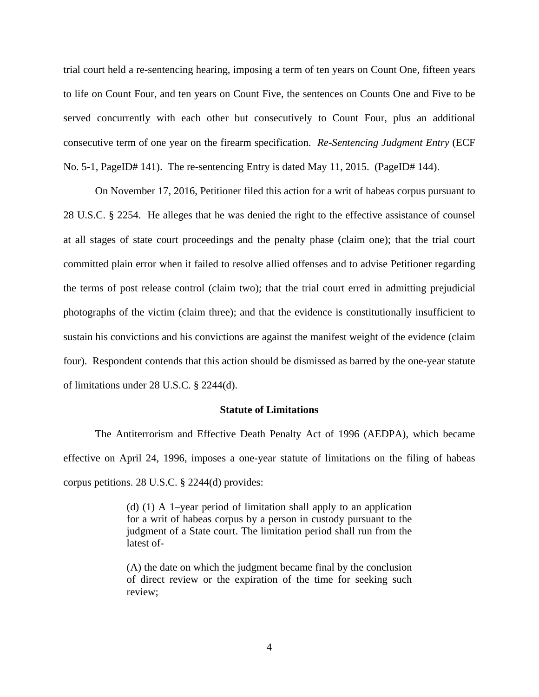trial court held a re-sentencing hearing, imposing a term of ten years on Count One, fifteen years to life on Count Four, and ten years on Count Five, the sentences on Counts One and Five to be served concurrently with each other but consecutively to Count Four, plus an additional consecutive term of one year on the firearm specification. *Re-Sentencing Judgment Entry* (ECF No. 5-1, PageID# 141). The re-sentencing Entry is dated May 11, 2015. (PageID# 144).

 On November 17, 2016, Petitioner filed this action for a writ of habeas corpus pursuant to 28 U.S.C. § 2254. He alleges that he was denied the right to the effective assistance of counsel at all stages of state court proceedings and the penalty phase (claim one); that the trial court committed plain error when it failed to resolve allied offenses and to advise Petitioner regarding the terms of post release control (claim two); that the trial court erred in admitting prejudicial photographs of the victim (claim three); and that the evidence is constitutionally insufficient to sustain his convictions and his convictions are against the manifest weight of the evidence (claim four). Respondent contends that this action should be dismissed as barred by the one-year statute of limitations under 28 U.S.C. § 2244(d).

### **Statute of Limitations**

The Antiterrorism and Effective Death Penalty Act of 1996 (AEDPA), which became effective on April 24, 1996, imposes a one-year statute of limitations on the filing of habeas corpus petitions. 28 U.S.C. § 2244(d) provides:

> (d) (1) A 1–year period of limitation shall apply to an application for a writ of habeas corpus by a person in custody pursuant to the judgment of a State court. The limitation period shall run from the latest of-

> (A) the date on which the judgment became final by the conclusion of direct review or the expiration of the time for seeking such review;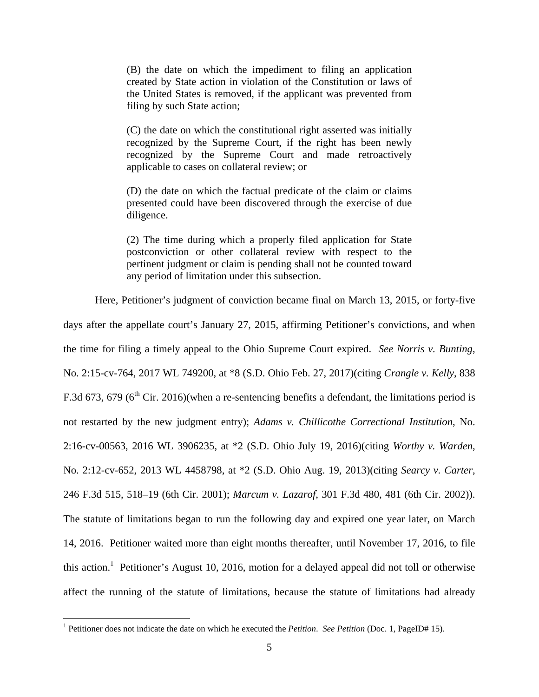(B) the date on which the impediment to filing an application created by State action in violation of the Constitution or laws of the United States is removed, if the applicant was prevented from filing by such State action;

(C) the date on which the constitutional right asserted was initially recognized by the Supreme Court, if the right has been newly recognized by the Supreme Court and made retroactively applicable to cases on collateral review; or

(D) the date on which the factual predicate of the claim or claims presented could have been discovered through the exercise of due diligence.

(2) The time during which a properly filed application for State postconviction or other collateral review with respect to the pertinent judgment or claim is pending shall not be counted toward any period of limitation under this subsection.

Here, Petitioner's judgment of conviction became final on March 13, 2015, or forty-five

days after the appellate court's January 27, 2015, affirming Petitioner's convictions, and when the time for filing a timely appeal to the Ohio Supreme Court expired. *See Norris v. Bunting*, No. 2:15-cv-764, 2017 WL 749200, at \*8 (S.D. Ohio Feb. 27, 2017)(citing *Crangle v. Kelly*, 838 F.3d 673, 679 ( $6<sup>th</sup>$  Cir. 2016)(when a re-sentencing benefits a defendant, the limitations period is not restarted by the new judgment entry); *Adams v. Chillicothe Correctional Institution*, No. 2:16-cv-00563, 2016 WL 3906235, at \*2 (S.D. Ohio July 19, 2016)(citing *Worthy v. Warden*, No. 2:12-cv-652, 2013 WL 4458798, at \*2 (S.D. Ohio Aug. 19, 2013)(citing *Searcy v. Carter*, 246 F.3d 515, 518–19 (6th Cir. 2001); *Marcum v. Lazarof*, 301 F.3d 480, 481 (6th Cir. 2002)). The statute of limitations began to run the following day and expired one year later, on March 14, 2016. Petitioner waited more than eight months thereafter, until November 17, 2016, to file this action.<sup>1</sup> Petitioner's August 10, 2016, motion for a delayed appeal did not toll or otherwise affect the running of the statute of limitations, because the statute of limitations had already

<u>.</u>

<sup>&</sup>lt;sup>1</sup> Petitioner does not indicate the date on which he executed the *Petition*. *See Petition* (Doc. 1, PageID# 15).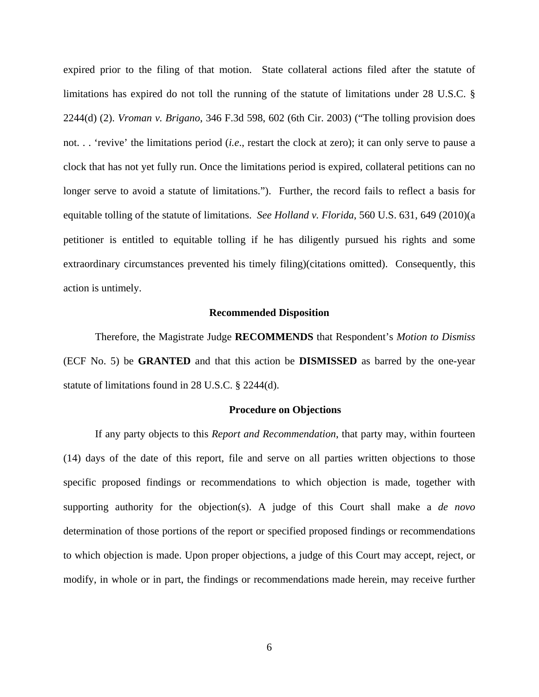expired prior to the filing of that motion. State collateral actions filed after the statute of limitations has expired do not toll the running of the statute of limitations under 28 U.S.C. § 2244(d) (2). *Vroman v. Brigano*, 346 F.3d 598, 602 (6th Cir. 2003) ("The tolling provision does not. . . 'revive' the limitations period (*i.e*., restart the clock at zero); it can only serve to pause a clock that has not yet fully run. Once the limitations period is expired, collateral petitions can no longer serve to avoid a statute of limitations."). Further, the record fails to reflect a basis for equitable tolling of the statute of limitations. *See Holland v. Florida*, 560 U.S. 631, 649 (2010)(a petitioner is entitled to equitable tolling if he has diligently pursued his rights and some extraordinary circumstances prevented his timely filing)(citations omitted). Consequently, this action is untimely.

### **Recommended Disposition**

Therefore, the Magistrate Judge **RECOMMENDS** that Respondent's *Motion to Dismiss* (ECF No. 5) be **GRANTED** and that this action be **DISMISSED** as barred by the one-year statute of limitations found in 28 U.S.C. § 2244(d).

### **Procedure on Objections**

If any party objects to this *Report and Recommendation*, that party may, within fourteen (14) days of the date of this report, file and serve on all parties written objections to those specific proposed findings or recommendations to which objection is made, together with supporting authority for the objection(s). A judge of this Court shall make a *de novo* determination of those portions of the report or specified proposed findings or recommendations to which objection is made. Upon proper objections, a judge of this Court may accept, reject, or modify, in whole or in part, the findings or recommendations made herein, may receive further